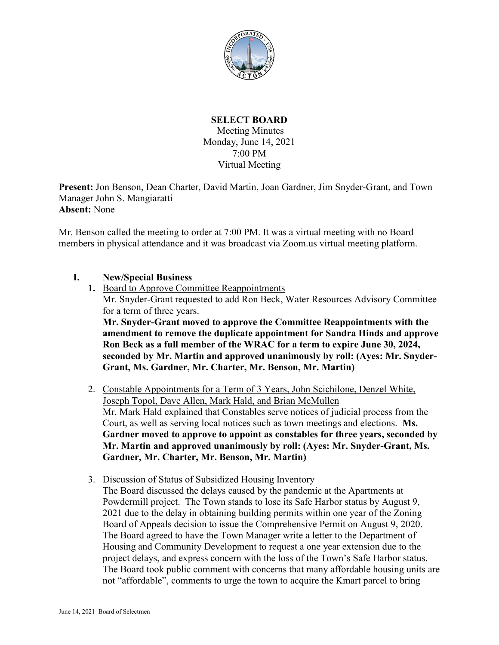

## **SELECT BOARD**

Meeting Minutes Monday, June 14, 2021 7:00 PM Virtual Meeting

**Present:** Jon Benson, Dean Charter, David Martin, Joan Gardner, Jim Snyder-Grant, and Town Manager John S. Mangiaratti **Absent:** None

Mr. Benson called the meeting to order at 7:00 PM. It was a virtual meeting with no Board members in physical attendance and it was broadcast via Zoom.us virtual meeting platform.

- **I. New/Special Business** 
	- **1.** Board to Approve Committee Reappointments Mr. Snyder-Grant requested to add Ron Beck, Water Resources Advisory Committee for a term of three years. **Mr. Snyder-Grant moved to approve the Committee Reappointments with the**

**amendment to remove the duplicate appointment for Sandra Hinds and approve Ron Beck as a full member of the WRAC for a term to expire June 30, 2024, seconded by Mr. Martin and approved unanimously by roll: (Ayes: Mr. Snyder-Grant, Ms. Gardner, Mr. Charter, Mr. Benson, Mr. Martin)**

- 2. Constable Appointments for a Term of 3 Years, John Scichilone, Denzel White, Joseph Topol, Dave Allen, Mark Hald, and Brian McMullen Mr. Mark Hald explained that Constables serve notices of judicial process from the Court, as well as serving local notices such as town meetings and elections. **Ms. Gardner moved to approve to appoint as constables for three years, seconded by Mr. Martin and approved unanimously by roll: (Ayes: Mr. Snyder-Grant, Ms. Gardner, Mr. Charter, Mr. Benson, Mr. Martin)**
- 3. Discussion of Status of Subsidized Housing Inventory

The Board discussed the delays caused by the pandemic at the Apartments at Powdermill project. The Town stands to lose its Safe Harbor status by August 9, 2021 due to the delay in obtaining building permits within one year of the Zoning Board of Appeals decision to issue the Comprehensive Permit on August 9, 2020. The Board agreed to have the Town Manager write a letter to the Department of Housing and Community Development to request a one year extension due to the project delays, and express concern with the loss of the Town's Safe Harbor status. The Board took public comment with concerns that many affordable housing units are not "affordable", comments to urge the town to acquire the Kmart parcel to bring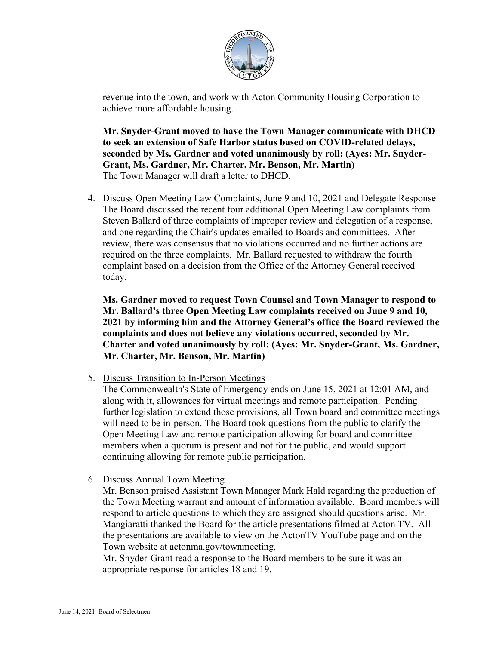

revenue into the town, and work with Acton Community Housing Corporation to achieve more affordable housing.

**Mr. Snyder-Grant moved to have the Town Manager communicate with DHCD to seek an extension of Safe Harbor status based on COVID-related delays, seconded by Ms. Gardner and voted unanimously by roll: (Ayes: Mr. Snyder-Grant, Ms. Gardner, Mr. Charter, Mr. Benson, Mr. Martin)** The Town Manager will draft a letter to DHCD.

4. Discuss Open Meeting Law Complaints, June 9 and 10, 2021 and Delegate Response The Board discussed the recent four additional Open Meeting Law complaints from Steven Ballard of three complaints of improper review and delegation of a response, and one regarding the Chair's updates emailed to Boards and committees. After review, there was consensus that no violations occurred and no further actions are required on the three complaints. Mr. Ballard requested to withdraw the fourth complaint based on a decision from the Office of the Attorney General received today.

**Ms. Gardner moved to request Town Counsel and Town Manager to respond to Mr. Ballard's three Open Meeting Law complaints received on June 9 and 10, 2021 by informing him and the Attorney General's office the Board reviewed the complaints and does not believe any violations occurred, seconded by Mr. Charter and voted unanimously by roll: (Ayes: Mr. Snyder-Grant, Ms. Gardner, Mr. Charter, Mr. Benson, Mr. Martin)**

5. Discuss Transition to In-Person Meetings

The Commonwealth's State of Emergency ends on June 15, 2021 at 12:01 AM, and along with it, allowances for virtual meetings and remote participation. Pending further legislation to extend those provisions, all Town board and committee meetings will need to be in-person. The Board took questions from the public to clarify the Open Meeting Law and remote participation allowing for board and committee members when a quorum is present and not for the public, and would support continuing allowing for remote public participation.

6. Discuss Annual Town Meeting

Mr. Benson praised Assistant Town Manager Mark Hald regarding the production of the Town Meeting warrant and amount of information available. Board members will respond to article questions to which they are assigned should questions arise. Mr. Mangiaratti thanked the Board for the article presentations filmed at Acton TV. All the presentations are available to view on the ActonTV YouTube page and on the Town website at actonma.gov/townmeeting.

Mr. Snyder-Grant read a response to the Board members to be sure it was an appropriate response for articles 18 and 19.